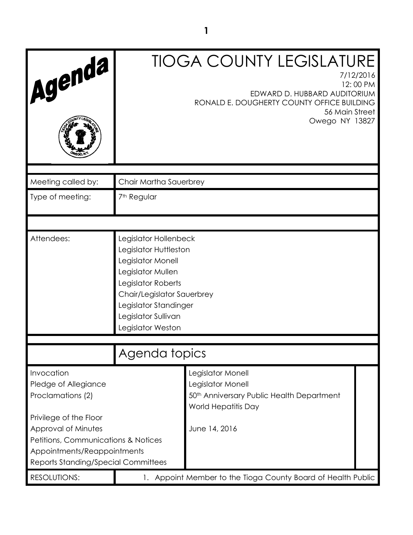| Agenda                                                                                                                                                     |                                                                                                                                                                                                                   | <b>TIOGA COUNTY LEGISLATURE</b><br>7/12/2016<br>12:00 PM<br>EDWARD D. HUBBARD AUDITORIUM<br>RONALD E. DOUGHERTY COUNTY OFFICE BUILDING<br>56 Main Street<br>Owego NY 13827 |
|------------------------------------------------------------------------------------------------------------------------------------------------------------|-------------------------------------------------------------------------------------------------------------------------------------------------------------------------------------------------------------------|----------------------------------------------------------------------------------------------------------------------------------------------------------------------------|
| Meeting called by:                                                                                                                                         | Chair Martha Sauerbrey                                                                                                                                                                                            |                                                                                                                                                                            |
| Type of meeting:                                                                                                                                           | 7 <sup>th</sup> Regular                                                                                                                                                                                           |                                                                                                                                                                            |
|                                                                                                                                                            |                                                                                                                                                                                                                   |                                                                                                                                                                            |
| Attendees:                                                                                                                                                 | Legislator Hollenbeck<br>Legislator Huttleston<br>Legislator Monell<br>Legislator Mullen<br>Legislator Roberts<br>Chair/Legislator Sauerbrey<br>Legislator Standinger<br>Legislator Sullivan<br>Legislator Weston |                                                                                                                                                                            |
|                                                                                                                                                            |                                                                                                                                                                                                                   |                                                                                                                                                                            |
|                                                                                                                                                            | Agenda topics                                                                                                                                                                                                     |                                                                                                                                                                            |
| Invocation<br>Pledge of Allegiance<br>Proclamations (2)                                                                                                    |                                                                                                                                                                                                                   | Legislator Monell<br>Legislator Monell<br>50 <sup>th</sup> Anniversary Public Health Department<br>World Hepatitis Day                                                     |
| Privilege of the Floor<br>Approval of Minutes<br>Petitions, Communications & Notices<br>Appointments/Reappointments<br>Reports Standing/Special Committees |                                                                                                                                                                                                                   | June 14, 2016                                                                                                                                                              |
| <b>RESOLUTIONS:</b>                                                                                                                                        |                                                                                                                                                                                                                   | 1. Appoint Member to the Tioga County Board of Health Public                                                                                                               |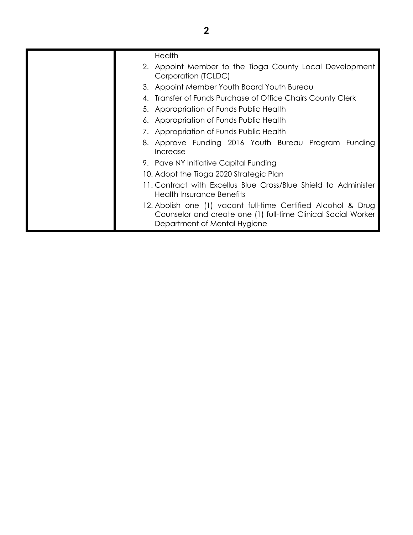| Health<br>2. Appoint Member to the Tioga County Local Development<br>Corporation (TCLDC)<br>3. Appoint Member Youth Board Youth Bureau<br>Transfer of Funds Purchase of Office Chairs County Clerk<br>5. Appropriation of Funds Public Health<br>6. Appropriation of Funds Public Health<br>7. Appropriation of Funds Public Health<br>8. Approve Funding 2016 Youth Bureau Program Funding<br>Increase<br>9. Pave NY Initiative Capital Funding<br>10. Adopt the Tioga 2020 Strategic Plan<br>11. Contract with Excellus Blue Cross/Blue Shield to Administer<br>Health Insurance Benefits<br>12. Abolish one (1) vacant full-time Certified Alcohol & Drug<br>Counselor and create one (1) full-time Clinical Social Worker<br>Department of Mental Hygiene |  |
|---------------------------------------------------------------------------------------------------------------------------------------------------------------------------------------------------------------------------------------------------------------------------------------------------------------------------------------------------------------------------------------------------------------------------------------------------------------------------------------------------------------------------------------------------------------------------------------------------------------------------------------------------------------------------------------------------------------------------------------------------------------|--|
|                                                                                                                                                                                                                                                                                                                                                                                                                                                                                                                                                                                                                                                                                                                                                               |  |
|                                                                                                                                                                                                                                                                                                                                                                                                                                                                                                                                                                                                                                                                                                                                                               |  |
|                                                                                                                                                                                                                                                                                                                                                                                                                                                                                                                                                                                                                                                                                                                                                               |  |
|                                                                                                                                                                                                                                                                                                                                                                                                                                                                                                                                                                                                                                                                                                                                                               |  |
|                                                                                                                                                                                                                                                                                                                                                                                                                                                                                                                                                                                                                                                                                                                                                               |  |
|                                                                                                                                                                                                                                                                                                                                                                                                                                                                                                                                                                                                                                                                                                                                                               |  |
|                                                                                                                                                                                                                                                                                                                                                                                                                                                                                                                                                                                                                                                                                                                                                               |  |
|                                                                                                                                                                                                                                                                                                                                                                                                                                                                                                                                                                                                                                                                                                                                                               |  |
|                                                                                                                                                                                                                                                                                                                                                                                                                                                                                                                                                                                                                                                                                                                                                               |  |
|                                                                                                                                                                                                                                                                                                                                                                                                                                                                                                                                                                                                                                                                                                                                                               |  |
|                                                                                                                                                                                                                                                                                                                                                                                                                                                                                                                                                                                                                                                                                                                                                               |  |
|                                                                                                                                                                                                                                                                                                                                                                                                                                                                                                                                                                                                                                                                                                                                                               |  |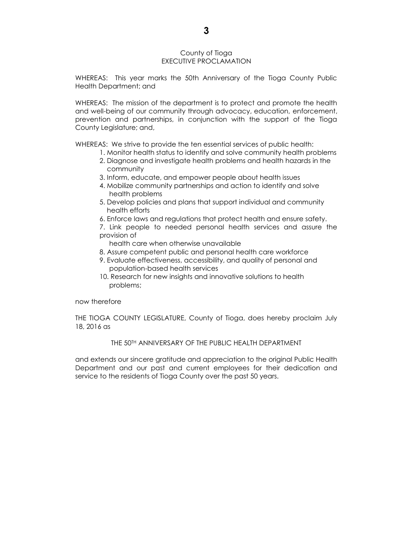## County of Tioga EXECUTIVE PROCLAMATION

WHEREAS: This year marks the 50th Anniversary of the Tioga County Public Health Department; and

WHEREAS: The mission of the department is to protect and promote the health and well-being of our community through advocacy, education, enforcement, prevention and partnerships, in conjunction with the support of the Tioga County Legislature; and,

WHEREAS: We strive to provide the ten essential services of public health:

- 1. Monitor health status to identify and solve community health problems
	- 2. Diagnose and investigate health problems and health hazards in the community
	- 3. Inform, educate, and empower people about health issues
	- 4. Mobilize community partnerships and action to identify and solve health problems
	- 5. Develop policies and plans that support individual and community health efforts
	- 6. Enforce laws and regulations that protect health and ensure safety.
- 7. Link people to needed personal health services and assure the provision of

health care when otherwise unavailable

- 8. Assure competent public and personal health care workforce
- 9. Evaluate effectiveness, accessibility, and quality of personal and population-based health services
- 10. Research for new insights and innovative solutions to health problems;

### now therefore

THE TIOGA COUNTY LEGISLATURE, County of Tioga, does hereby proclaim July 18, 2016 as

## THE 50TH ANNIVERSARY OF THE PUBLIC HEALTH DEPARTMENT

and extends our sincere gratitude and appreciation to the original Public Health Department and our past and current employees for their dedication and service to the residents of Tioga County over the past 50 years.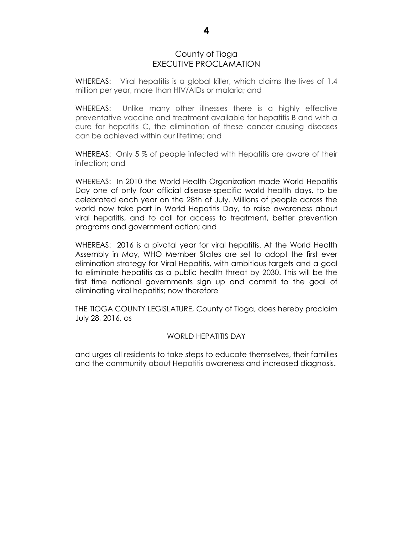# County of Tioga EXECUTIVE PROCLAMATION

WHEREAS: Viral hepatitis is a global killer, which claims the lives of 1.4 million per year, more than HIV/AIDs or malaria; and

WHEREAS: Unlike many other illnesses there is a highly effective preventative vaccine and treatment available for hepatitis B and with a cure for hepatitis C, the elimination of these cancer-causing diseases can be achieved within our lifetime; and

WHEREAS: Only 5 % of people infected with Hepatitis are aware of their infection; and

WHEREAS: In 2010 the World Health Organization made World Hepatitis Day one of only four official disease-specific world health days, to be celebrated each year on the 28th of July. Millions of people across the world now take part in World Hepatitis Day, to raise awareness about viral hepatitis, and to call for access to treatment, better prevention programs and government action; and

WHEREAS: 2016 is a pivotal year for viral hepatitis. At the World Health Assembly in May, WHO Member States are set to adopt the first ever elimination strategy for Viral Hepatitis, with ambitious targets and a goal to eliminate hepatitis as a public health threat by 2030. This will be the first time national governments sign up and commit to the goal of eliminating viral hepatitis; now therefore

THE TIOGA COUNTY LEGISLATURE, County of Tioga, does hereby proclaim July 28, 2016, as

## WORLD HEPATITIS DAY

and urges all residents to take steps to educate themselves, their families and the community about Hepatitis awareness and increased diagnosis.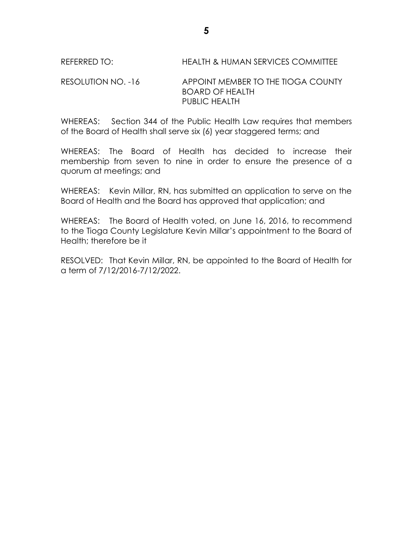# RESOLUTION NO. -16 APPOINT MEMBER TO THE TIOGA COUNTY BOARD OF HEALTH PUBLIC HEALTH

WHEREAS: Section 344 of the Public Health Law requires that members of the Board of Health shall serve six (6) year staggered terms; and

WHEREAS: The Board of Health has decided to increase their membership from seven to nine in order to ensure the presence of a quorum at meetings; and

WHEREAS: Kevin Millar, RN, has submitted an application to serve on the Board of Health and the Board has approved that application; and

WHEREAS: The Board of Health voted, on June 16, 2016, to recommend to the Tioga County Legislature Kevin Millar's appointment to the Board of Health; therefore be it

RESOLVED: That Kevin Millar, RN, be appointed to the Board of Health for a term of 7/12/2016-7/12/2022.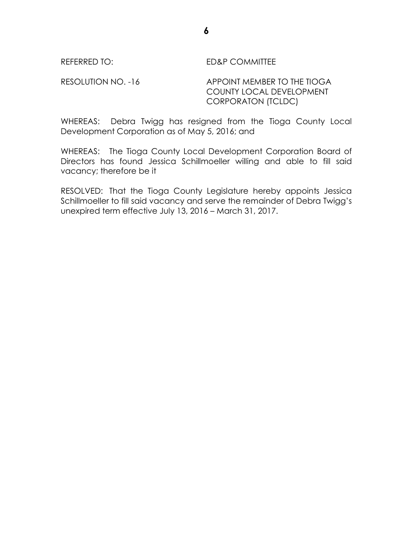# REFERRED TO: ED&P COMMITTEE

RESOLUTION NO. -16 APPOINT MEMBER TO THE TIOGA COUNTY LOCAL DEVELOPMENT CORPORATON (TCLDC)

WHEREAS: Debra Twigg has resigned from the Tioga County Local Development Corporation as of May 5, 2016; and

WHEREAS: The Tioga County Local Development Corporation Board of Directors has found Jessica Schillmoeller willing and able to fill said vacancy; therefore be it

RESOLVED: That the Tioga County Legislature hereby appoints Jessica Schillmoeller to fill said vacancy and serve the remainder of Debra Twigg's unexpired term effective July 13, 2016 – March 31, 2017.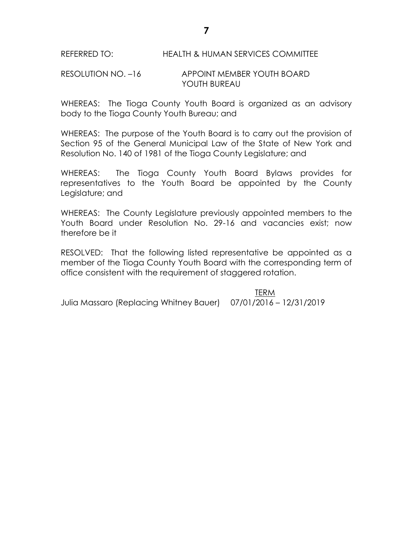# RESOLUTION NO. –16 APPOINT MEMBER YOUTH BOARD YOUTH BUREAU

WHEREAS: The Tioga County Youth Board is organized as an advisory body to the Tioga County Youth Bureau; and

WHEREAS: The purpose of the Youth Board is to carry out the provision of Section 95 of the General Municipal Law of the State of New York and Resolution No. 140 of 1981 of the Tioga County Legislature; and

WHEREAS: The Tioga County Youth Board Bylaws provides for representatives to the Youth Board be appointed by the County Legislature; and

WHEREAS: The County Legislature previously appointed members to the Youth Board under Resolution No. 29-16 and vacancies exist; now therefore be it

RESOLVED: That the following listed representative be appointed as a member of the Tioga County Youth Board with the corresponding term of office consistent with the requirement of staggered rotation.

TERM Julia Massaro (Replacing Whitney Bauer) 07/01/2016 – 12/31/2019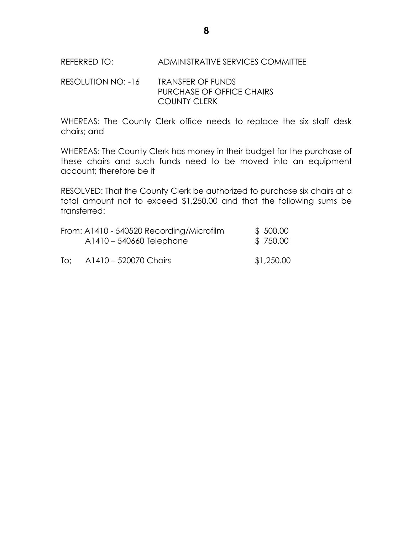REFERRED TO: ADMINISTRATIVE SERVICES COMMITTEE

RESOLUTION NO: -16 TRANSFER OF FUNDS PURCHASE OF OFFICE CHAIRS COUNTY CLERK

WHEREAS: The County Clerk office needs to replace the six staff desk chairs; and

WHEREAS: The County Clerk has money in their budget for the purchase of these chairs and such funds need to be moved into an equipment account; therefore be it

RESOLVED: That the County Clerk be authorized to purchase six chairs at a total amount not to exceed \$1,250.00 and that the following sums be transferred:

|     | From: A1410 - 540520 Recording/Microfilm<br>A1410 - 540660 Telephone | \$ 500.00<br>\$750.00 |
|-----|----------------------------------------------------------------------|-----------------------|
| To: | A1410 - 520070 Chairs                                                | \$1,250.00            |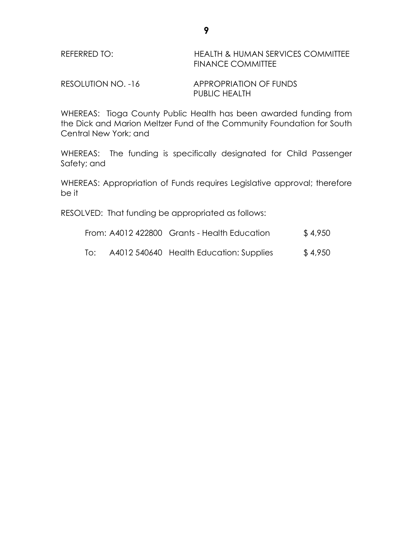| REFERRED TO: | <b>HEALTH &amp; HUMAN SERVICES COMMITTEE</b> |
|--------------|----------------------------------------------|
|              | <b>FINANCE COMMITTEE</b>                     |

RESOLUTION NO. -16 APPROPRIATION OF FUNDS PUBLIC HEALTH

WHEREAS: Tioga County Public Health has been awarded funding from the Dick and Marion Meltzer Fund of the Community Foundation for South Central New York; and

WHEREAS: The funding is specifically designated for Child Passenger Safety; and

WHEREAS: Appropriation of Funds requires Legislative approval; therefore be it

RESOLVED: That funding be appropriated as follows:

From:  $A4012422800$  Grants - Health Education  $$4,950$ 

To: A4012 540640 Health Education: Supplies \$ 4,950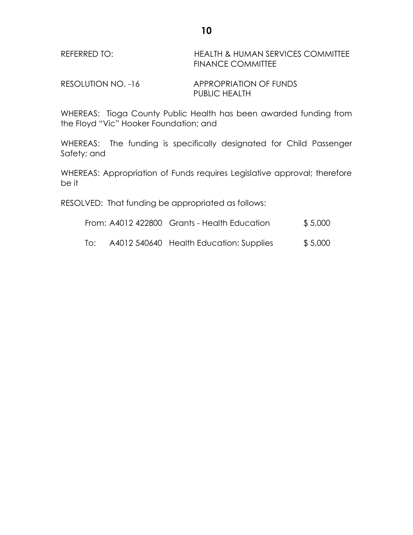| REFERRED TO: | <b>HEALTH &amp; HUMAN SERVICES COMMITTEE</b> |
|--------------|----------------------------------------------|
|              | <b>FINANCE COMMITTEE</b>                     |
|              |                                              |

RESOLUTION NO. -16 APPROPRIATION OF FUNDS PUBLIC HEALTH

WHEREAS: Tioga County Public Health has been awarded funding from the Floyd "Vic" Hooker Foundation; and

WHEREAS: The funding is specifically designated for Child Passenger Safety; and

WHEREAS: Appropriation of Funds requires Legislative approval; therefore be it

RESOLVED: That funding be appropriated as follows:

|  |  | From: A4012 422800 Grants - Health Education | \$5,000 |
|--|--|----------------------------------------------|---------|
|--|--|----------------------------------------------|---------|

To: A4012 540640 Health Education: Supplies \$ 5,000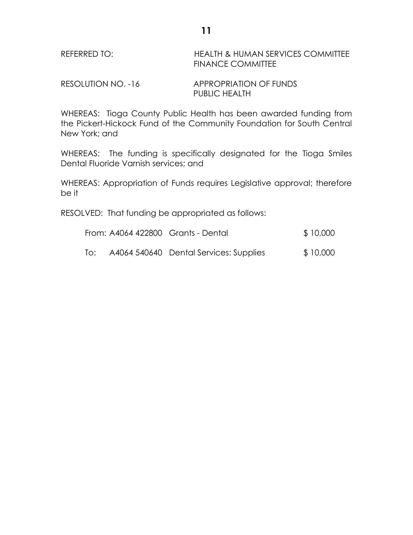| REFERRED TO: | <b>HEALTH &amp; HUMAN SERVICES COMMITTEE</b> |
|--------------|----------------------------------------------|
|              | <b>FINANCE COMMITTEE</b>                     |

RESOLUTION NO. -16 APPROPRIATION OF FUNDS PUBLIC HEALTH

WHEREAS: Tioga County Public Health has been awarded funding from the Pickert-Hickock Fund of the Community Foundation for South Central New York; and

WHEREAS: The funding is specifically designated for the Tioga Smiles Dental Fluoride Varnish services; and

WHEREAS: Appropriation of Funds requires Legislative approval; therefore be it

RESOLVED: That funding be appropriated as follows:

| From: A4064 422800 Grants - Dental | \$10,000 |
|------------------------------------|----------|
|                                    |          |

To: A4064 540640 Dental Services: Supplies \$ 10,000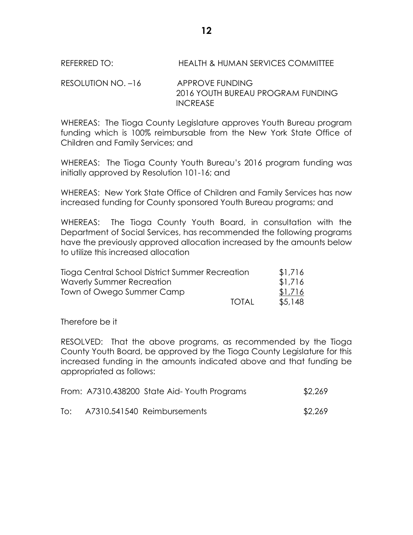REFERRED TO: HEALTH & HUMAN SERVICES COMMITTEE

RESOLUTION NO. -16 APPROVE FUNDING 2016 YOUTH BUREAU PROGRAM FUNDING INCREASE

WHEREAS: The Tioga County Legislature approves Youth Bureau program funding which is 100% reimbursable from the New York State Office of Children and Family Services; and

WHEREAS: The Tioga County Youth Bureau's 2016 program funding was initially approved by Resolution 101-16; and

WHEREAS: New York State Office of Children and Family Services has now increased funding for County sponsored Youth Bureau programs; and

WHEREAS: The Tioga County Youth Board, in consultation with the Department of Social Services, has recommended the following programs have the previously approved allocation increased by the amounts below to utilize this increased allocation

| Tioga Central School District Summer Recreation |              | \$1,716 |
|-------------------------------------------------|--------------|---------|
| Waverly Summer Recreation                       |              | \$1,716 |
| Town of Owego Summer Camp                       |              | \$1,716 |
|                                                 | <b>TOTAL</b> | \$5,148 |

Therefore be it

RESOLVED: That the above programs, as recommended by the Tioga County Youth Board, be approved by the Tioga County Legislature for this increased funding in the amounts indicated above and that funding be appropriated as follows:

|     | From: A7310.438200 State Aid-Youth Programs | \$2,269 |
|-----|---------------------------------------------|---------|
| To: | A7310.541540 Reimbursements                 | \$2,269 |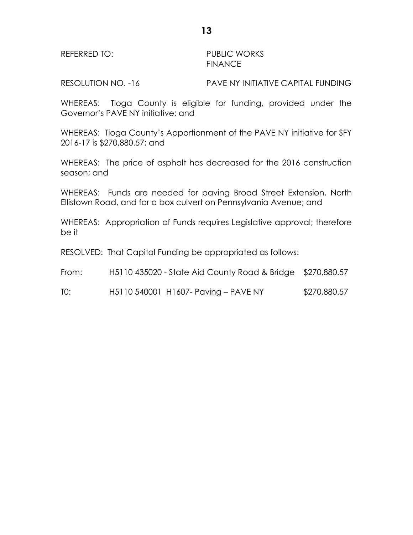REFERRED TO: PUBLIC WORKS FINANCE

RESOLUTION NO. -16 PAVE NY INITIATIVE CAPITAL FUNDING

WHEREAS: Tioga County is eligible for funding, provided under the Governor's PAVE NY initiative; and

WHEREAS: Tioga County's Apportionment of the PAVE NY initiative for SFY 2016-17 is \$270,880.57; and

WHEREAS: The price of asphalt has decreased for the 2016 construction season; and

WHEREAS: Funds are needed for paving Broad Street Extension, North Ellistown Road, and for a box culvert on Pennsylvania Avenue; and

WHEREAS: Appropriation of Funds requires Legislative approval; therefore be it

RESOLVED: That Capital Funding be appropriated as follows:

| From: | H5110 435020 - State Aid County Road & Bridge \$270,880.57 |              |
|-------|------------------------------------------------------------|--------------|
| TO:   | H5110 540001 H1607- Paving - PAVE NY                       | \$270,880.57 |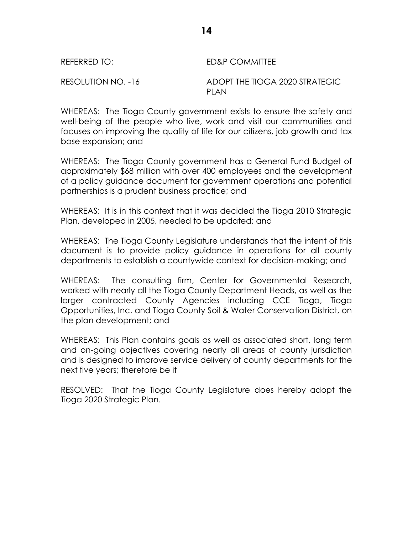| REFERRED TO:       | ED&P COMMITTEE                                |
|--------------------|-----------------------------------------------|
| RESOLUTION NO. -16 | ADOPT THE TIOGA 2020 STRATEGIC<br><b>PLAN</b> |

WHEREAS: The Tioga County government exists to ensure the safety and well-being of the people who live, work and visit our communities and focuses on improving the quality of life for our citizens, job growth and tax base expansion; and

WHEREAS: The Tioga County government has a General Fund Budget of approximately \$68 million with over 400 employees and the development of a policy guidance document for government operations and potential partnerships is a prudent business practice; and

WHEREAS: It is in this context that it was decided the Tioga 2010 Strategic Plan, developed in 2005, needed to be updated; and

WHEREAS: The Tioga County Legislature understands that the intent of this document is to provide policy guidance in operations for all county departments to establish a countywide context for decision-making; and

WHEREAS: The consulting firm, Center for Governmental Research, worked with nearly all the Tioga County Department Heads, as well as the larger contracted County Agencies including CCE Tioga, Tioga Opportunities, Inc. and Tioga County Soil & Water Conservation District, on the plan development; and

WHEREAS: This Plan contains goals as well as associated short, long term and on-going objectives covering nearly all areas of county jurisdiction and is designed to improve service delivery of county departments for the next five years; therefore be it

RESOLVED: That the Tioga County Legislature does hereby adopt the Tioga 2020 Strategic Plan.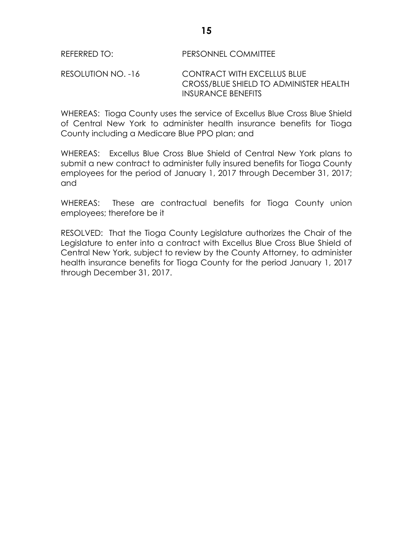# RESOLUTION NO. -16 CONTRACT WITH EXCELLUS BLUE CROSS/BLUE SHIELD TO ADMINISTER HEALTH INSURANCE BENEFITS

WHEREAS: Tioga County uses the service of Excellus Blue Cross Blue Shield of Central New York to administer health insurance benefits for Tioga County including a Medicare Blue PPO plan; and

WHEREAS: Excellus Blue Cross Blue Shield of Central New York plans to submit a new contract to administer fully insured benefits for Tioga County employees for the period of January 1, 2017 through December 31, 2017; and

WHEREAS: These are contractual benefits for Tioga County union employees; therefore be it

RESOLVED: That the Tioga County Legislature authorizes the Chair of the Legislature to enter into a contract with Excellus Blue Cross Blue Shield of Central New York, subject to review by the County Attorney, to administer health insurance benefits for Tioga County for the period January 1, 2017 through December 31, 2017.